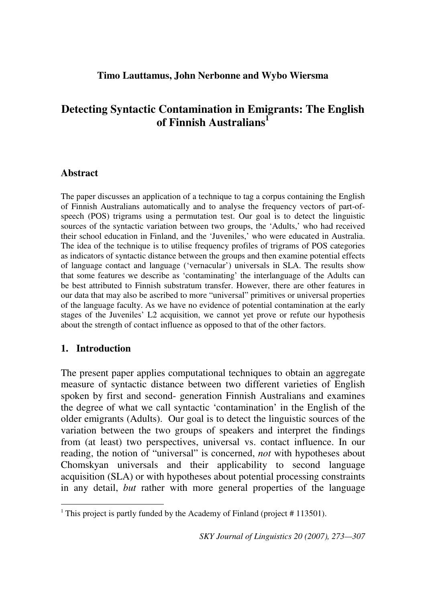# **Detecting Syntactic Contamination in Emigrants: The English of Finnish Australians<sup>1</sup>**

## **Abstract**

The paper discusses an application of a technique to tag a corpus containing the English of Finnish Australians automatically and to analyse the frequency vectors of part-ofspeech (POS) trigrams using a permutation test. Our goal is to detect the linguistic sources of the syntactic variation between two groups, the 'Adults,' who had received their school education in Finland, and the 'Juveniles,' who were educated in Australia. The idea of the technique is to utilise frequency profiles of trigrams of POS categories as indicators of syntactic distance between the groups and then examine potential effects of language contact and language ('vernacular') universals in SLA. The results show that some features we describe as 'contaminating' the interlanguage of the Adults can be best attributed to Finnish substratum transfer. However, there are other features in our data that may also be ascribed to more "universal" primitives or universal properties of the language faculty. As we have no evidence of potential contamination at the early stages of the Juveniles' L2 acquisition, we cannot yet prove or refute our hypothesis about the strength of contact influence as opposed to that of the other factors.

## **1. Introduction**

1

The present paper applies computational techniques to obtain an aggregate measure of syntactic distance between two different varieties of English spoken by first and second- generation Finnish Australians and examines the degree of what we call syntactic 'contamination' in the English of the older emigrants (Adults). Our goal is to detect the linguistic sources of the variation between the two groups of speakers and interpret the findings from (at least) two perspectives, universal vs. contact influence. In our reading, the notion of "universal" is concerned, *not* with hypotheses about Chomskyan universals and their applicability to second language acquisition (SLA) or with hypotheses about potential processing constraints in any detail, *but* rather with more general properties of the language

<sup>&</sup>lt;sup>1</sup> This project is partly funded by the Academy of Finland (project  $# 113501$ ).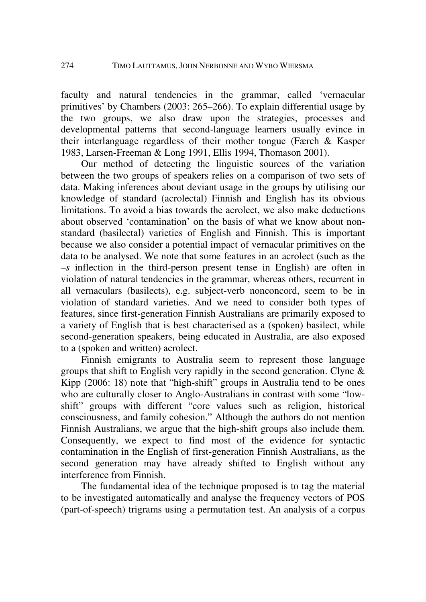faculty and natural tendencies in the grammar, called 'vernacular primitives' by Chambers (2003: 265–266). To explain differential usage by the two groups, we also draw upon the strategies, processes and developmental patterns that second-language learners usually evince in their interlanguage regardless of their mother tongue (Færch & Kasper 1983, Larsen-Freeman & Long 1991, Ellis 1994, Thomason 2001).

Our method of detecting the linguistic sources of the variation between the two groups of speakers relies on a comparison of two sets of data. Making inferences about deviant usage in the groups by utilising our knowledge of standard (acrolectal) Finnish and English has its obvious limitations. To avoid a bias towards the acrolect, we also make deductions about observed 'contamination' on the basis of what we know about nonstandard (basilectal) varieties of English and Finnish. This is important because we also consider a potential impact of vernacular primitives on the data to be analysed. We note that some features in an acrolect (such as the –*s* inflection in the third-person present tense in English) are often in violation of natural tendencies in the grammar, whereas others, recurrent in all vernaculars (basilects), e.g. subject-verb nonconcord, seem to be in violation of standard varieties. And we need to consider both types of features, since first-generation Finnish Australians are primarily exposed to a variety of English that is best characterised as a (spoken) basilect, while second-generation speakers, being educated in Australia, are also exposed to a (spoken and written) acrolect.

Finnish emigrants to Australia seem to represent those language groups that shift to English very rapidly in the second generation. Clyne & Kipp (2006: 18) note that "high-shift" groups in Australia tend to be ones who are culturally closer to Anglo-Australians in contrast with some "lowshift" groups with different "core values such as religion, historical consciousness, and family cohesion." Although the authors do not mention Finnish Australians, we argue that the high-shift groups also include them. Consequently, we expect to find most of the evidence for syntactic contamination in the English of first-generation Finnish Australians, as the second generation may have already shifted to English without any interference from Finnish.

The fundamental idea of the technique proposed is to tag the material to be investigated automatically and analyse the frequency vectors of POS (part-of-speech) trigrams using a permutation test. An analysis of a corpus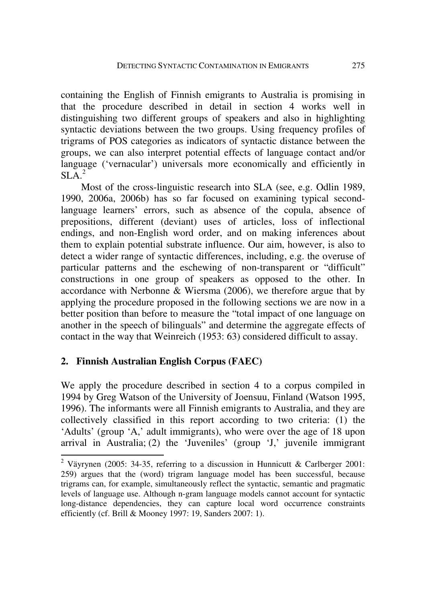containing the English of Finnish emigrants to Australia is promising in that the procedure described in detail in section 4 works well in distinguishing two different groups of speakers and also in highlighting syntactic deviations between the two groups. Using frequency profiles of trigrams of POS categories as indicators of syntactic distance between the groups, we can also interpret potential effects of language contact and/or language ('vernacular') universals more economically and efficiently in  $SLA.<sup>2</sup>$ 

Most of the cross-linguistic research into SLA (see, e.g. Odlin 1989, 1990, 2006a, 2006b) has so far focused on examining typical secondlanguage learners' errors, such as absence of the copula, absence of prepositions, different (deviant) uses of articles, loss of inflectional endings, and non-English word order, and on making inferences about them to explain potential substrate influence. Our aim, however, is also to detect a wider range of syntactic differences, including, e.g. the overuse of particular patterns and the eschewing of non-transparent or "difficult" constructions in one group of speakers as opposed to the other. In accordance with Nerbonne & Wiersma (2006), we therefore argue that by applying the procedure proposed in the following sections we are now in a better position than before to measure the "total impact of one language on another in the speech of bilinguals" and determine the aggregate effects of contact in the way that Weinreich (1953: 63) considered difficult to assay.

## **2. Finnish Australian English Corpus (FAEC)**

1

We apply the procedure described in section 4 to a corpus compiled in 1994 by Greg Watson of the University of Joensuu, Finland (Watson 1995, 1996). The informants were all Finnish emigrants to Australia, and they are collectively classified in this report according to two criteria: (1) the 'Adults' (group 'A,' adult immigrants), who were over the age of 18 upon arrival in Australia; (2) the 'Juveniles' (group 'J,' juvenile immigrant

<sup>&</sup>lt;sup>2</sup> Väyrynen (2005: 34-35, referring to a discussion in Hunnicutt & Carlberger 2001: 259) argues that the (word) trigram language model has been successful, because trigrams can, for example, simultaneously reflect the syntactic, semantic and pragmatic levels of language use. Although n-gram language models cannot account for syntactic long-distance dependencies, they can capture local word occurrence constraints efficiently (cf. Brill & Mooney 1997: 19, Sanders 2007: 1).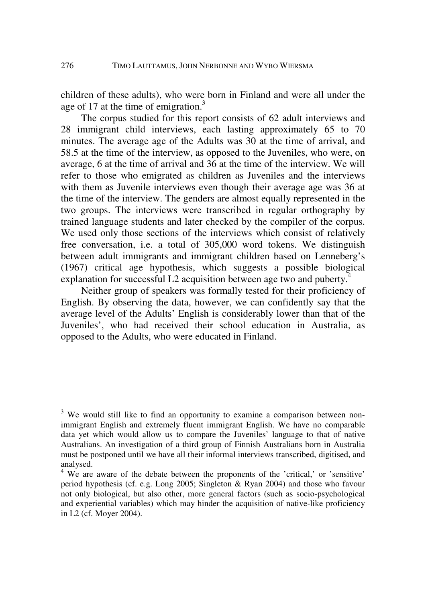children of these adults), who were born in Finland and were all under the age of 17 at the time of emigration. $3$ 

The corpus studied for this report consists of 62 adult interviews and 28 immigrant child interviews, each lasting approximately 65 to 70 minutes. The average age of the Adults was 30 at the time of arrival, and 58.5 at the time of the interview, as opposed to the Juveniles, who were, on average, 6 at the time of arrival and 36 at the time of the interview. We will refer to those who emigrated as children as Juveniles and the interviews with them as Juvenile interviews even though their average age was 36 at the time of the interview. The genders are almost equally represented in the two groups. The interviews were transcribed in regular orthography by trained language students and later checked by the compiler of the corpus. We used only those sections of the interviews which consist of relatively free conversation, i.e. a total of 305,000 word tokens. We distinguish between adult immigrants and immigrant children based on Lenneberg's (1967) critical age hypothesis, which suggests a possible biological explanation for successful L2 acquisition between age two and puberty.<sup>4</sup>

Neither group of speakers was formally tested for their proficiency of English. By observing the data, however, we can confidently say that the average level of the Adults' English is considerably lower than that of the Juveniles', who had received their school education in Australia, as opposed to the Adults, who were educated in Finland.

1

 $3$  We would still like to find an opportunity to examine a comparison between nonimmigrant English and extremely fluent immigrant English. We have no comparable data yet which would allow us to compare the Juveniles' language to that of native Australians. An investigation of a third group of Finnish Australians born in Australia must be postponed until we have all their informal interviews transcribed, digitised, and analysed.

<sup>&</sup>lt;sup>4</sup> We are aware of the debate between the proponents of the 'critical,' or 'sensitive' period hypothesis (cf. e.g. Long 2005; Singleton & Ryan 2004) and those who favour not only biological, but also other, more general factors (such as socio-psychological and experiential variables) which may hinder the acquisition of native-like proficiency in L2 (cf. Moyer 2004).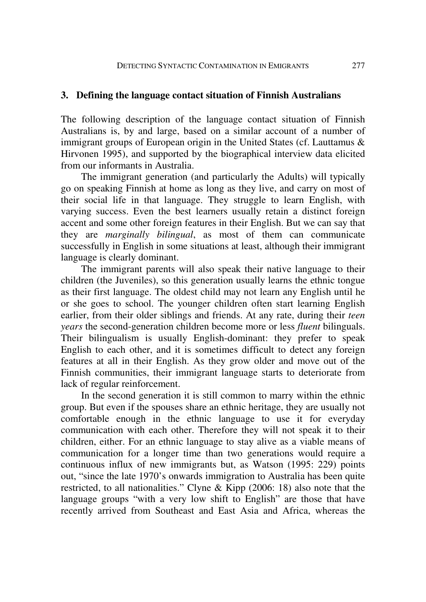#### **3. Defining the language contact situation of Finnish Australians**

The following description of the language contact situation of Finnish Australians is, by and large, based on a similar account of a number of immigrant groups of European origin in the United States (cf. Lauttamus & Hirvonen 1995), and supported by the biographical interview data elicited from our informants in Australia.

The immigrant generation (and particularly the Adults) will typically go on speaking Finnish at home as long as they live, and carry on most of their social life in that language. They struggle to learn English, with varying success. Even the best learners usually retain a distinct foreign accent and some other foreign features in their English. But we can say that they are *marginally bilingual*, as most of them can communicate successfully in English in some situations at least, although their immigrant language is clearly dominant.

The immigrant parents will also speak their native language to their children (the Juveniles), so this generation usually learns the ethnic tongue as their first language. The oldest child may not learn any English until he or she goes to school. The younger children often start learning English earlier, from their older siblings and friends. At any rate, during their *teen years* the second-generation children become more or less *fluent* bilinguals. Their bilingualism is usually English-dominant: they prefer to speak English to each other, and it is sometimes difficult to detect any foreign features at all in their English. As they grow older and move out of the Finnish communities, their immigrant language starts to deteriorate from lack of regular reinforcement.

In the second generation it is still common to marry within the ethnic group. But even if the spouses share an ethnic heritage, they are usually not comfortable enough in the ethnic language to use it for everyday communication with each other. Therefore they will not speak it to their children, either. For an ethnic language to stay alive as a viable means of communication for a longer time than two generations would require a continuous influx of new immigrants but, as Watson (1995: 229) points out, "since the late 1970's onwards immigration to Australia has been quite restricted, to all nationalities." Clyne & Kipp (2006: 18) also note that the language groups "with a very low shift to English" are those that have recently arrived from Southeast and East Asia and Africa, whereas the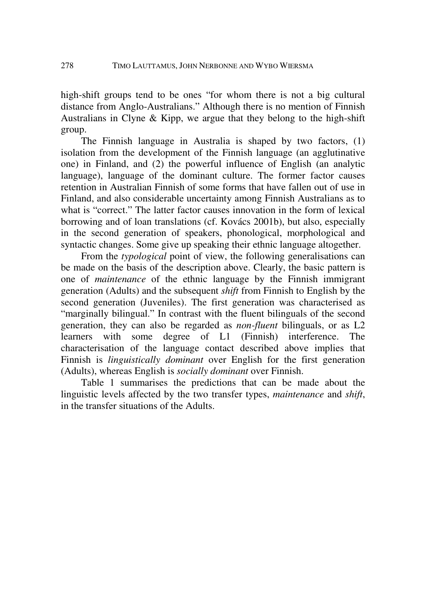high-shift groups tend to be ones "for whom there is not a big cultural distance from Anglo-Australians." Although there is no mention of Finnish Australians in Clyne & Kipp, we argue that they belong to the high-shift group.

The Finnish language in Australia is shaped by two factors, (1) isolation from the development of the Finnish language (an agglutinative one) in Finland, and (2) the powerful influence of English (an analytic language), language of the dominant culture. The former factor causes retention in Australian Finnish of some forms that have fallen out of use in Finland, and also considerable uncertainty among Finnish Australians as to what is "correct." The latter factor causes innovation in the form of lexical borrowing and of loan translations (cf. Kovács 2001b), but also, especially in the second generation of speakers, phonological, morphological and syntactic changes. Some give up speaking their ethnic language altogether.

From the *typological* point of view, the following generalisations can be made on the basis of the description above. Clearly, the basic pattern is one of *maintenance* of the ethnic language by the Finnish immigrant generation (Adults) and the subsequent *shift* from Finnish to English by the second generation (Juveniles). The first generation was characterised as "marginally bilingual." In contrast with the fluent bilinguals of the second generation, they can also be regarded as *non-fluent* bilinguals, or as L2 learners with some degree of L1 (Finnish) interference. The characterisation of the language contact described above implies that Finnish is *linguistically dominant* over English for the first generation (Adults), whereas English is *socially dominant* over Finnish.

Table 1 summarises the predictions that can be made about the linguistic levels affected by the two transfer types, *maintenance* and *shift*, in the transfer situations of the Adults.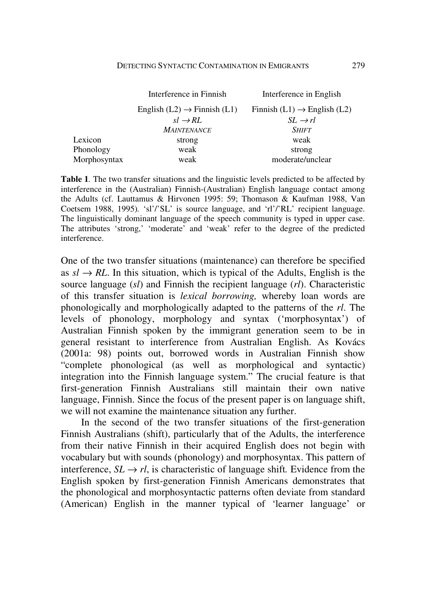|              | Interference in Finnish                   | Interference in English                   |
|--------------|-------------------------------------------|-------------------------------------------|
|              | English $(L2) \rightarrow$ Finnish $(L1)$ | Finnish $(L1) \rightarrow$ English $(L2)$ |
|              | $sl \rightarrow RL$                       | $SL \rightarrow rl$                       |
|              | <b>MAINTENANCE</b>                        | <b>SHIFT</b>                              |
| Lexicon      | strong                                    | weak                                      |
| Phonology    | weak                                      | strong                                    |
| Morphosyntax | weak                                      | moderate/unclear                          |

**Table 1***.* The two transfer situations and the linguistic levels predicted to be affected by interference in the (Australian) Finnish-(Australian) English language contact among the Adults (cf. Lauttamus & Hirvonen 1995: 59; Thomason & Kaufman 1988, Van Coetsem 1988, 1995)*.* 'sl'/'SL' is source language, and 'rl'/'RL' recipient language. The linguistically dominant language of the speech community is typed in upper case. The attributes 'strong,' 'moderate' and 'weak' refer to the degree of the predicted interference.

One of the two transfer situations (maintenance) can therefore be specified as  $s \rightarrow R$ . In this situation, which is typical of the Adults, English is the source language (*sl*) and Finnish the recipient language (*rl*). Characteristic of this transfer situation is *lexical borrowing,* whereby loan words are phonologically and morphologically adapted to the patterns of the *rl*. The levels of phonology, morphology and syntax ('morphosyntax') of Australian Finnish spoken by the immigrant generation seem to be in general resistant to interference from Australian English. As Kovács (2001a: 98) points out, borrowed words in Australian Finnish show "complete phonological (as well as morphological and syntactic) integration into the Finnish language system." The crucial feature is that first-generation Finnish Australians still maintain their own native language, Finnish. Since the focus of the present paper is on language shift, we will not examine the maintenance situation any further.

In the second of the two transfer situations of the first-generation Finnish Australians (shift), particularly that of the Adults, the interference from their native Finnish in their acquired English does not begin with vocabulary but with sounds (phonology) and morphosyntax. This pattern of interference,  $SL \rightarrow rl$ , is characteristic of language shift. Evidence from the English spoken by first-generation Finnish Americans demonstrates that the phonological and morphosyntactic patterns often deviate from standard (American) English in the manner typical of 'learner language' or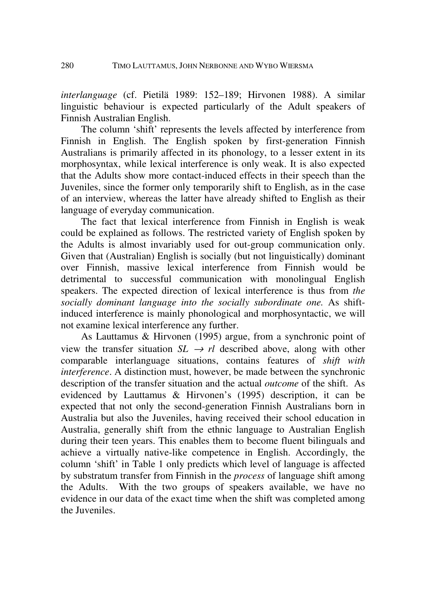*interlanguage* (cf. Pietilä 1989: 152–189; Hirvonen 1988). A similar linguistic behaviour is expected particularly of the Adult speakers of Finnish Australian English.

The column 'shift' represents the levels affected by interference from Finnish in English. The English spoken by first-generation Finnish Australians is primarily affected in its phonology, to a lesser extent in its morphosyntax, while lexical interference is only weak. It is also expected that the Adults show more contact-induced effects in their speech than the Juveniles, since the former only temporarily shift to English, as in the case of an interview, whereas the latter have already shifted to English as their language of everyday communication.

The fact that lexical interference from Finnish in English is weak could be explained as follows. The restricted variety of English spoken by the Adults is almost invariably used for out-group communication only. Given that (Australian) English is socially (but not linguistically) dominant over Finnish, massive lexical interference from Finnish would be detrimental to successful communication with monolingual English speakers. The expected direction of lexical interference is thus from *the socially dominant language into the socially subordinate one.* As shiftinduced interference is mainly phonological and morphosyntactic, we will not examine lexical interference any further.

As Lauttamus & Hirvonen (1995) argue, from a synchronic point of view the transfer situation  $SL \rightarrow r l$  described above, along with other comparable interlanguage situations, contains features of *shift with interference*. A distinction must, however, be made between the synchronic description of the transfer situation and the actual *outcome* of the shift. As evidenced by Lauttamus & Hirvonen's (1995) description, it can be expected that not only the second-generation Finnish Australians born in Australia but also the Juveniles, having received their school education in Australia, generally shift from the ethnic language to Australian English during their teen years. This enables them to become fluent bilinguals and achieve a virtually native-like competence in English. Accordingly, the column 'shift' in Table 1 only predicts which level of language is affected by substratum transfer from Finnish in the *process* of language shift among the Adults. With the two groups of speakers available, we have no evidence in our data of the exact time when the shift was completed among the Juveniles.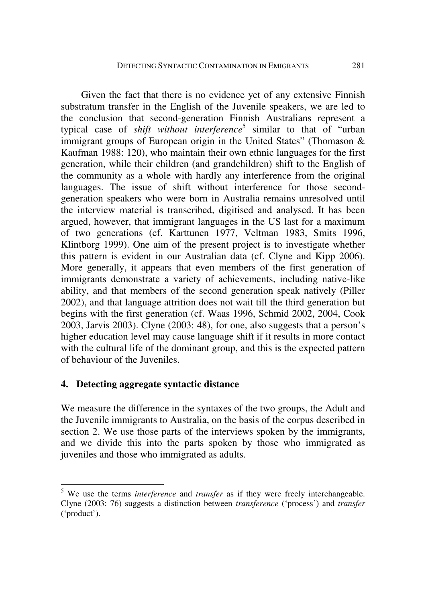Given the fact that there is no evidence yet of any extensive Finnish substratum transfer in the English of the Juvenile speakers, we are led to the conclusion that second-generation Finnish Australians represent a typical case of *shift without interference*<sup>5</sup> similar to that of "urban immigrant groups of European origin in the United States" (Thomason & Kaufman 1988: 120), who maintain their own ethnic languages for the first generation, while their children (and grandchildren) shift to the English of the community as a whole with hardly any interference from the original languages. The issue of shift without interference for those secondgeneration speakers who were born in Australia remains unresolved until the interview material is transcribed, digitised and analysed. It has been argued, however, that immigrant languages in the US last for a maximum of two generations (cf. Karttunen 1977, Veltman 1983, Smits 1996, Klintborg 1999). One aim of the present project is to investigate whether this pattern is evident in our Australian data (cf. Clyne and Kipp 2006). More generally, it appears that even members of the first generation of immigrants demonstrate a variety of achievements, including native-like ability, and that members of the second generation speak natively (Piller 2002), and that language attrition does not wait till the third generation but begins with the first generation (cf. Waas 1996, Schmid 2002, 2004, Cook 2003, Jarvis 2003). Clyne (2003: 48), for one, also suggests that a person's higher education level may cause language shift if it results in more contact with the cultural life of the dominant group, and this is the expected pattern of behaviour of the Juveniles.

#### **4. Detecting aggregate syntactic distance**

<u>.</u>

We measure the difference in the syntaxes of the two groups, the Adult and the Juvenile immigrants to Australia, on the basis of the corpus described in section 2. We use those parts of the interviews spoken by the immigrants, and we divide this into the parts spoken by those who immigrated as juveniles and those who immigrated as adults.

<sup>&</sup>lt;sup>5</sup> We use the terms *interference* and *transfer* as if they were freely interchangeable. Clyne (2003: 76) suggests a distinction between *transference* ('process') and *transfer* ('product').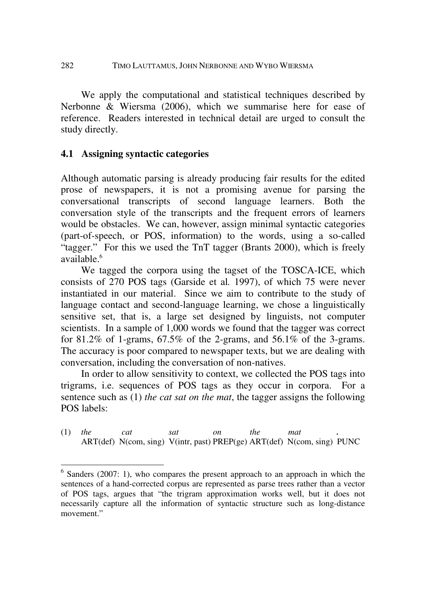We apply the computational and statistical techniques described by Nerbonne & Wiersma (2006), which we summarise here for ease of reference. Readers interested in technical detail are urged to consult the study directly.

## **4.1 Assigning syntactic categories**

1

Although automatic parsing is already producing fair results for the edited prose of newspapers, it is not a promising avenue for parsing the conversational transcripts of second language learners. Both the conversation style of the transcripts and the frequent errors of learners would be obstacles. We can, however, assign minimal syntactic categories (part-of-speech, or POS, information) to the words, using a so-called "tagger." For this we used the TnT tagger (Brants 2000), which is freely available.<sup>6</sup>

We tagged the corpora using the tagset of the TOSCA-ICE, which consists of 270 POS tags (Garside et al*.* 1997), of which 75 were never instantiated in our material. Since we aim to contribute to the study of language contact and second-language learning, we chose a linguistically sensitive set, that is, a large set designed by linguists, not computer scientists. In a sample of 1,000 words we found that the tagger was correct for 81.2% of 1-grams,  $67.5\%$  of the 2-grams, and  $56.1\%$  of the 3-grams. The accuracy is poor compared to newspaper texts, but we are dealing with conversation, including the conversation of non-natives.

In order to allow sensitivity to context, we collected the POS tags into trigrams, i.e. sequences of POS tags as they occur in corpora. For a sentence such as (1) *the cat sat on the mat*, the tagger assigns the following POS labels:

(1) *the cat sat on the mat .* ART(def) N(com, sing) V(intr, past) PREP(ge) ART(def) N(com, sing) PUNC

 $6$  Sanders (2007: 1), who compares the present approach to an approach in which the sentences of a hand-corrected corpus are represented as parse trees rather than a vector of POS tags, argues that "the trigram approximation works well, but it does not necessarily capture all the information of syntactic structure such as long-distance movement."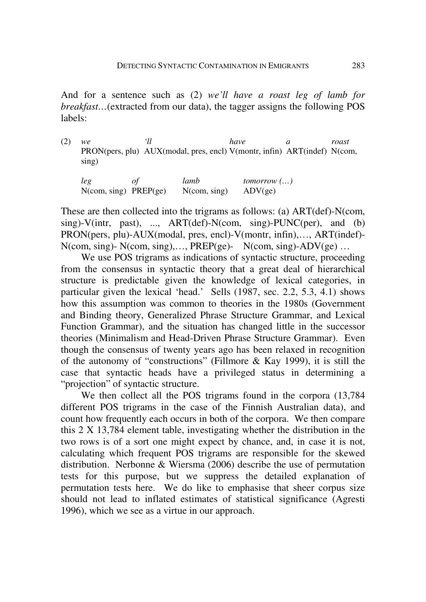And for a sentence such as (2) *we'll have a roast leg of lamb for breakfast…*(extracted from our data), the tagger assigns the following POS labels:

(2) *we 'll have a roast*  PRON(pers, plu) AUX(modal, pres, encl) V(montr, infin) ART(indef) N(com, sing)

*leg of lamb tomorrow (…)*  N(com, sing) PREP(ge) N(com, sing) ADV(ge)

These are then collected into the trigrams as follows: (a) ART(def)-N(com,  $\sin g$ )-V(intr, past), ..., ART(def)-N(com,  $\sin g$ )-PUNC(per), and (b) PRON(pers, plu)-AUX(modal, pres, encl)-V(montr, infin),…, ART(indef)-  $N$ (com, sing)-  $N$ (com, sing),..., PREP(ge)-  $N$ (com, sing)- $ADV$ (ge)...

We use POS trigrams as indications of syntactic structure, proceeding from the consensus in syntactic theory that a great deal of hierarchical structure is predictable given the knowledge of lexical categories, in particular given the lexical 'head.' Sells (1987, sec. 2.2, 5.3, 4.1) shows how this assumption was common to theories in the 1980s (Government and Binding theory, Generalized Phrase Structure Grammar, and Lexical Function Grammar), and the situation has changed little in the successor theories (Minimalism and Head-Driven Phrase Structure Grammar). Even though the consensus of twenty years ago has been relaxed in recognition of the autonomy of "constructions" (Fillmore & Kay 1999), it is still the case that syntactic heads have a privileged status in determining a "projection" of syntactic structure.

We then collect all the POS trigrams found in the corpora (13,784 different POS trigrams in the case of the Finnish Australian data), and count how frequently each occurs in both of the corpora. We then compare this 2 X 13,784 element table, investigating whether the distribution in the two rows is of a sort one might expect by chance, and, in case it is not, calculating which frequent POS trigrams are responsible for the skewed distribution. Nerbonne & Wiersma (2006) describe the use of permutation tests for this purpose, but we suppress the detailed explanation of permutation tests here. We do like to emphasise that sheer corpus size should not lead to inflated estimates of statistical significance (Agresti 1996), which we see as a virtue in our approach.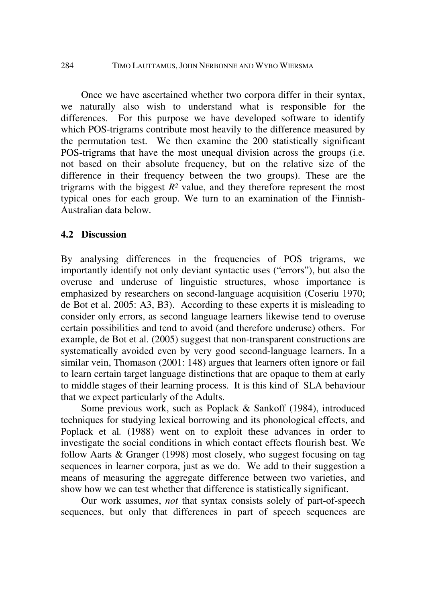284 TIMO LAUTTAMUS, JOHN NERBONNE AND WYBO WIERSMA

Once we have ascertained whether two corpora differ in their syntax, we naturally also wish to understand what is responsible for the differences. For this purpose we have developed software to identify which POS-trigrams contribute most heavily to the difference measured by the permutation test. We then examine the 200 statistically significant POS-trigrams that have the most unequal division across the groups (i.e. not based on their absolute frequency, but on the relative size of the difference in their frequency between the two groups). These are the trigrams with the biggest  $R<sup>2</sup>$  value, and they therefore represent the most typical ones for each group. We turn to an examination of the Finnish-Australian data below.

### **4.2 Discussion**

By analysing differences in the frequencies of POS trigrams, we importantly identify not only deviant syntactic uses ("errors"), but also the overuse and underuse of linguistic structures, whose importance is emphasized by researchers on second-language acquisition (Coseriu 1970; de Bot et al. 2005: A3, B3). According to these experts it is misleading to consider only errors, as second language learners likewise tend to overuse certain possibilities and tend to avoid (and therefore underuse) others. For example, de Bot et al. (2005) suggest that non-transparent constructions are systematically avoided even by very good second-language learners. In a similar vein, Thomason (2001: 148) argues that learners often ignore or fail to learn certain target language distinctions that are opaque to them at early to middle stages of their learning process. It is this kind of SLA behaviour that we expect particularly of the Adults.

Some previous work, such as Poplack & Sankoff (1984), introduced techniques for studying lexical borrowing and its phonological effects, and Poplack et al*.* (1988) went on to exploit these advances in order to investigate the social conditions in which contact effects flourish best. We follow Aarts & Granger (1998) most closely, who suggest focusing on tag sequences in learner corpora, just as we do. We add to their suggestion a means of measuring the aggregate difference between two varieties, and show how we can test whether that difference is statistically significant.

Our work assumes, *not* that syntax consists solely of part-of-speech sequences, but only that differences in part of speech sequences are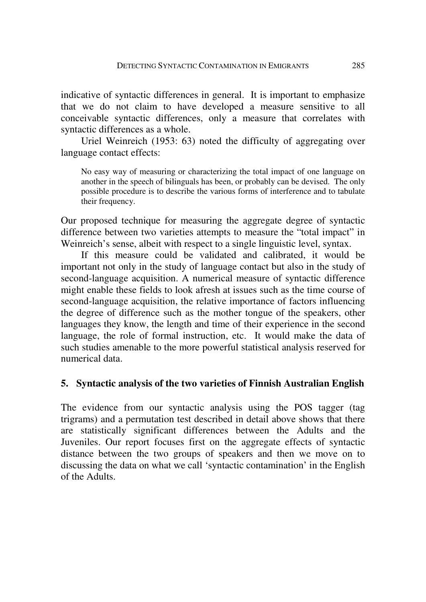indicative of syntactic differences in general. It is important to emphasize that we do not claim to have developed a measure sensitive to all conceivable syntactic differences, only a measure that correlates with syntactic differences as a whole.

Uriel Weinreich (1953: 63) noted the difficulty of aggregating over language contact effects:

No easy way of measuring or characterizing the total impact of one language on another in the speech of bilinguals has been, or probably can be devised. The only possible procedure is to describe the various forms of interference and to tabulate their frequency.

Our proposed technique for measuring the aggregate degree of syntactic difference between two varieties attempts to measure the "total impact" in Weinreich's sense, albeit with respect to a single linguistic level, syntax.

If this measure could be validated and calibrated, it would be important not only in the study of language contact but also in the study of second-language acquisition. A numerical measure of syntactic difference might enable these fields to look afresh at issues such as the time course of second-language acquisition, the relative importance of factors influencing the degree of difference such as the mother tongue of the speakers, other languages they know, the length and time of their experience in the second language, the role of formal instruction, etc. It would make the data of such studies amenable to the more powerful statistical analysis reserved for numerical data.

## **5. Syntactic analysis of the two varieties of Finnish Australian English**

The evidence from our syntactic analysis using the POS tagger (tag trigrams) and a permutation test described in detail above shows that there are statistically significant differences between the Adults and the Juveniles. Our report focuses first on the aggregate effects of syntactic distance between the two groups of speakers and then we move on to discussing the data on what we call 'syntactic contamination' in the English of the Adults.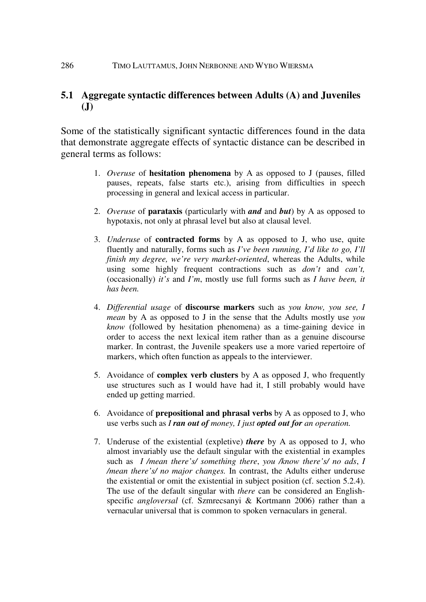## **5.1 Aggregate syntactic differences between Adults (A) and Juveniles (J)**

Some of the statistically significant syntactic differences found in the data that demonstrate aggregate effects of syntactic distance can be described in general terms as follows:

- 1. *Overuse* of **hesitation phenomena** by A as opposed to J (pauses, filled pauses, repeats, false starts etc.), arising from difficulties in speech processing in general and lexical access in particular.
- 2. *Overuse* of **parataxis** (particularly with *and* and *but*) by A as opposed to hypotaxis, not only at phrasal level but also at clausal level.
- 3. *Underuse* of **contracted forms** by A as opposed to J, who use, quite fluently and naturally, forms such as *I've been running, I'd like to go, I'll finish my degree, we're very market-oriented*, whereas the Adults, while using some highly frequent contractions such as *don't* and *can't,* (occasionally) *it's* and *I'm*, mostly use full forms such as *I have been, it has been.*
- 4. *Differential usage* of **discourse markers** such as *you know, you see, I mean* by A as opposed to J in the sense that the Adults mostly use *you know* (followed by hesitation phenomena) as a time-gaining device in order to access the next lexical item rather than as a genuine discourse marker. In contrast, the Juvenile speakers use a more varied repertoire of markers, which often function as appeals to the interviewer.
- 5. Avoidance of **complex verb clusters** by A as opposed J, who frequently use structures such as I would have had it, I still probably would have ended up getting married.
- 6. Avoidance of **prepositional and phrasal verbs** by A as opposed to J, who use verbs such as *I ran out of money, I just opted out for an operation.*
- 7. Underuse of the existential (expletive) *there* by A as opposed to J, who almost invariably use the default singular with the existential in examples such as *I /mean there's/ something there*, *you /know there's/ no ads*, *I /mean there's/ no major changes.* In contrast, the Adults either underuse the existential or omit the existential in subject position (cf. section 5.2.4). The use of the default singular with *there* can be considered an Englishspecific *angloversal* (cf. Szmrecsanyi & Kortmann 2006) rather than a vernacular universal that is common to spoken vernaculars in general.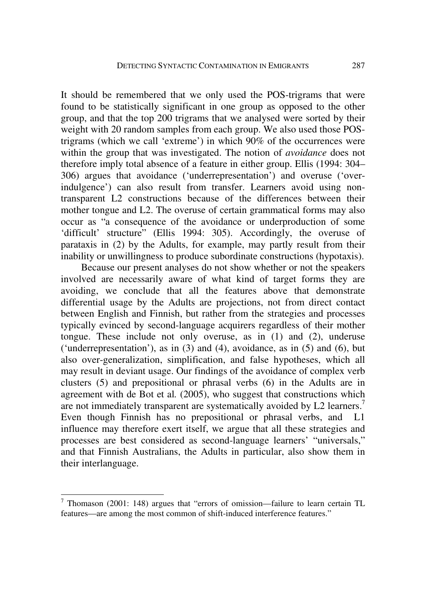It should be remembered that we only used the POS-trigrams that were found to be statistically significant in one group as opposed to the other group, and that the top 200 trigrams that we analysed were sorted by their weight with 20 random samples from each group. We also used those POStrigrams (which we call 'extreme') in which 90% of the occurrences were within the group that was investigated. The notion of *avoidance* does not therefore imply total absence of a feature in either group. Ellis (1994: 304– 306) argues that avoidance ('underrepresentation') and overuse ('overindulgence') can also result from transfer. Learners avoid using nontransparent L2 constructions because of the differences between their mother tongue and L2. The overuse of certain grammatical forms may also occur as "a consequence of the avoidance or underproduction of some 'difficult' structure" (Ellis 1994: 305). Accordingly, the overuse of parataxis in (2) by the Adults, for example, may partly result from their inability or unwillingness to produce subordinate constructions (hypotaxis).

Because our present analyses do not show whether or not the speakers involved are necessarily aware of what kind of target forms they are avoiding, we conclude that all the features above that demonstrate differential usage by the Adults are projections, not from direct contact between English and Finnish, but rather from the strategies and processes typically evinced by second-language acquirers regardless of their mother tongue. These include not only overuse, as in (1) and (2), underuse ('underrepresentation'), as in  $(3)$  and  $(4)$ , avoidance, as in  $(5)$  and  $(6)$ , but also over-generalization, simplification, and false hypotheses, which all may result in deviant usage. Our findings of the avoidance of complex verb clusters (5) and prepositional or phrasal verbs (6) in the Adults are in agreement with de Bot et al*.* (2005), who suggest that constructions which are not immediately transparent are systematically avoided by L2 learners.<sup>7</sup> Even though Finnish has no prepositional or phrasal verbs, and L1 influence may therefore exert itself, we argue that all these strategies and processes are best considered as second-language learners' "universals," and that Finnish Australians, the Adults in particular, also show them in their interlanguage.

1

<sup>&</sup>lt;sup>7</sup> Thomason (2001: 148) argues that "errors of omission—failure to learn certain TL features—are among the most common of shift-induced interference features."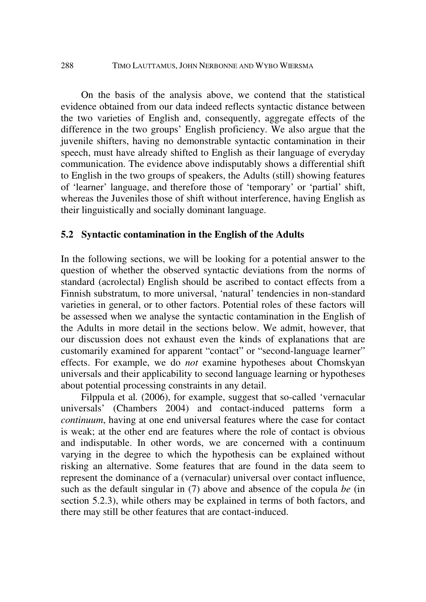On the basis of the analysis above, we contend that the statistical evidence obtained from our data indeed reflects syntactic distance between the two varieties of English and, consequently, aggregate effects of the difference in the two groups' English proficiency. We also argue that the juvenile shifters, having no demonstrable syntactic contamination in their speech, must have already shifted to English as their language of everyday communication. The evidence above indisputably shows a differential shift to English in the two groups of speakers, the Adults (still) showing features of 'learner' language, and therefore those of 'temporary' or 'partial' shift, whereas the Juveniles those of shift without interference, having English as their linguistically and socially dominant language.

#### **5.2 Syntactic contamination in the English of the Adults**

In the following sections, we will be looking for a potential answer to the question of whether the observed syntactic deviations from the norms of standard (acrolectal) English should be ascribed to contact effects from a Finnish substratum, to more universal, 'natural' tendencies in non-standard varieties in general, or to other factors. Potential roles of these factors will be assessed when we analyse the syntactic contamination in the English of the Adults in more detail in the sections below. We admit, however, that our discussion does not exhaust even the kinds of explanations that are customarily examined for apparent "contact" or "second-language learner" effects. For example, we do *not* examine hypotheses about Chomskyan universals and their applicability to second language learning or hypotheses about potential processing constraints in any detail.

Filppula et al*.* (2006), for example, suggest that so-called 'vernacular universals' (Chambers 2004) and contact-induced patterns form a *continuum*, having at one end universal features where the case for contact is weak; at the other end are features where the role of contact is obvious and indisputable. In other words, we are concerned with a continuum varying in the degree to which the hypothesis can be explained without risking an alternative. Some features that are found in the data seem to represent the dominance of a (vernacular) universal over contact influence, such as the default singular in (7) above and absence of the copula *be* (in section 5.2.3), while others may be explained in terms of both factors, and there may still be other features that are contact-induced.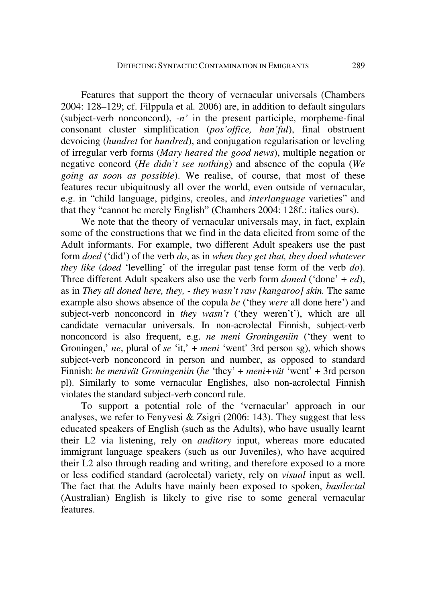Features that support the theory of vernacular universals (Chambers 2004: 128–129; cf. Filppula et al*.* 2006) are, in addition to default singulars (subject-verb nonconcord), -*n'* in the present participle, morpheme-final consonant cluster simplification (*pos'office, han'ful*), final obstruent devoicing (*hundret* for *hundred*), and conjugation regularisation or leveling of irregular verb forms (*Mary heared the good news*), multiple negation or negative concord (*He didn't see nothing*) and absence of the copula (*We going as soon as possible*). We realise, of course, that most of these features recur ubiquitously all over the world, even outside of vernacular, e.g. in "child language, pidgins, creoles, and *interlanguage* varieties" and that they "cannot be merely English" (Chambers 2004: 128f.: italics ours).

We note that the theory of vernacular universals may, in fact, explain some of the constructions that we find in the data elicited from some of the Adult informants. For example, two different Adult speakers use the past form *doed* ('did') of the verb *do*, as in *when they get that, they doed whatever they like* (*doed* 'levelling' of the irregular past tense form of the verb *do*). Three different Adult speakers also use the verb form *doned* ('done' + *ed*), as in *They all doned here, they, - they wasn't raw [kangaroo] skin.* The same example also shows absence of the copula *be* ('they *were* all done here') and subject-verb nonconcord in *they wasn't* ('they weren't'), which are all candidate vernacular universals. In non-acrolectal Finnish, subject-verb nonconcord is also frequent, e.g. *ne meni Groningeniin* ('they went to Groningen,' *ne*, plural of *se* 'it,' + *meni* 'went' 3rd person sg), which shows subject-verb nonconcord in person and number, as opposed to standard Finnish: *he menivät Groningeniin* (*he* 'they' + *meni+vät* 'went' + 3rd person pl). Similarly to some vernacular Englishes, also non-acrolectal Finnish violates the standard subject-verb concord rule.

To support a potential role of the 'vernacular' approach in our analyses, we refer to Fenyvesi & Zsigri (2006: 143). They suggest that less educated speakers of English (such as the Adults), who have usually learnt their L2 via listening, rely on *auditory* input, whereas more educated immigrant language speakers (such as our Juveniles), who have acquired their L2 also through reading and writing, and therefore exposed to a more or less codified standard (acrolectal) variety, rely on *visual* input as well. The fact that the Adults have mainly been exposed to spoken, *basilectal* (Australian) English is likely to give rise to some general vernacular features.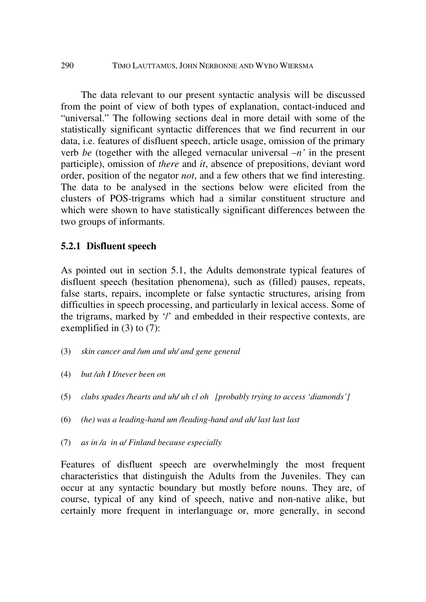The data relevant to our present syntactic analysis will be discussed from the point of view of both types of explanation, contact-induced and "universal." The following sections deal in more detail with some of the statistically significant syntactic differences that we find recurrent in our data, i.e. features of disfluent speech, article usage, omission of the primary verb *be* (together with the alleged vernacular universal –*n'* in the present participle), omission of *there* and *it*, absence of prepositions, deviant word order, position of the negator *not*, and a few others that we find interesting. The data to be analysed in the sections below were elicited from the clusters of POS-trigrams which had a similar constituent structure and which were shown to have statistically significant differences between the two groups of informants.

### **5.2.1 Disfluent speech**

As pointed out in section 5.1, the Adults demonstrate typical features of disfluent speech (hesitation phenomena), such as (filled) pauses, repeats, false starts, repairs, incomplete or false syntactic structures, arising from difficulties in speech processing, and particularly in lexical access. Some of the trigrams, marked by '/' and embedded in their respective contexts, are exemplified in (3) to (7):

- (3) *skin cancer and /um and uh/ and gene general*
- (4) *but /ah I I/never been on*
- (5) *clubs spades /hearts and uh/ uh cl oh [probably trying to access 'diamonds']*
- (6) *(he) was a leading-hand um /leading-hand and ah/ last last last*
- (7) *as in /a in a/ Finland because especially*

Features of disfluent speech are overwhelmingly the most frequent characteristics that distinguish the Adults from the Juveniles. They can occur at any syntactic boundary but mostly before nouns. They are, of course, typical of any kind of speech, native and non-native alike, but certainly more frequent in interlanguage or, more generally, in second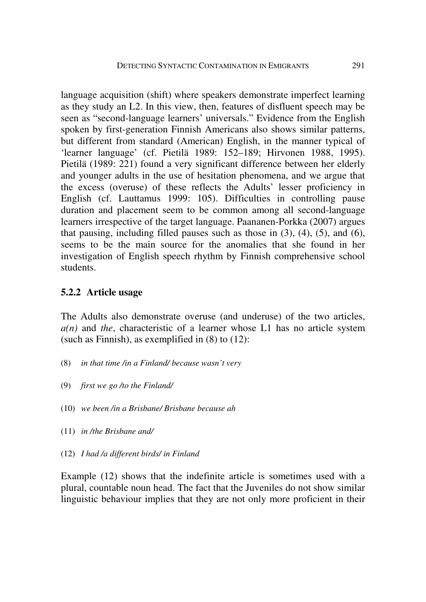language acquisition (shift) where speakers demonstrate imperfect learning as they study an L2. In this view, then, features of disfluent speech may be seen as "second-language learners' universals." Evidence from the English spoken by first-generation Finnish Americans also shows similar patterns, but different from standard (American) English, in the manner typical of 'learner language' (cf. Pietilä 1989: 152–189; Hirvonen 1988, 1995). Pietilä (1989: 221) found a very significant difference between her elderly and younger adults in the use of hesitation phenomena, and we argue that the excess (overuse) of these reflects the Adults' lesser proficiency in English (cf. Lauttamus 1999: 105). Difficulties in controlling pause duration and placement seem to be common among all second-language learners irrespective of the target language. Paananen-Porkka (2007) argues that pausing, including filled pauses such as those in  $(3)$ ,  $(4)$ ,  $(5)$ , and  $(6)$ , seems to be the main source for the anomalies that she found in her investigation of English speech rhythm by Finnish comprehensive school students.

## **5.2.2 Article usage**

The Adults also demonstrate overuse (and underuse) of the two articles, *a(n)* and *the*, characteristic of a learner whose L1 has no article system (such as Finnish), as exemplified in (8) to (12):

- (8) *in that time /in a Finland/ because wasn't very*
- (9) *first we go /to the Finland/*
- (10) *we been /in a Brisbane/ Brisbane because ah*
- (11) *in /the Brisbane and/*
- (12) *I had /a different birds/ in Finland*

Example (12) shows that the indefinite article is sometimes used with a plural, countable noun head. The fact that the Juveniles do not show similar linguistic behaviour implies that they are not only more proficient in their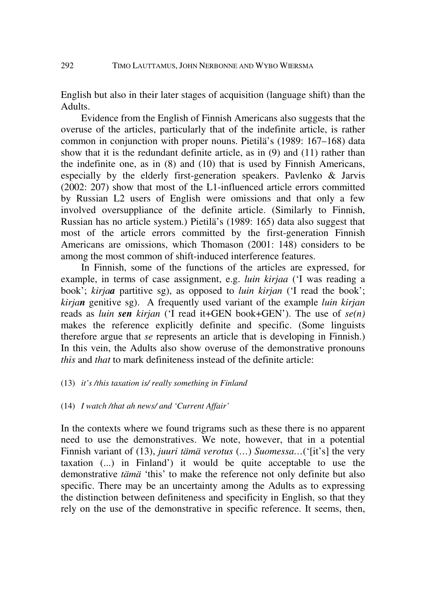English but also in their later stages of acquisition (language shift) than the Adults.

Evidence from the English of Finnish Americans also suggests that the overuse of the articles, particularly that of the indefinite article, is rather common in conjunction with proper nouns. Pietilä's (1989: 167–168) data show that it is the redundant definite article, as in (9) and (11) rather than the indefinite one, as in (8) and (10) that is used by Finnish Americans, especially by the elderly first-generation speakers. Pavlenko & Jarvis (2002: 207) show that most of the L1-influenced article errors committed by Russian L2 users of English were omissions and that only a few involved oversuppliance of the definite article. (Similarly to Finnish, Russian has no article system.) Pietilä's (1989: 165) data also suggest that most of the article errors committed by the first-generation Finnish Americans are omissions, which Thomason (2001: 148) considers to be among the most common of shift-induced interference features.

In Finnish, some of the functions of the articles are expressed, for example, in terms of case assignment, e.g. *luin kirjaa* ('I was reading a book'; *kirjaa* partitive sg), as opposed to *luin kirjan* ('I read the book'; *kirjan* genitive sg). A frequently used variant of the example *luin kirjan*  reads as *luin sen kirjan* ('I read it+GEN book+GEN'). The use of *se(n)* makes the reference explicitly definite and specific. (Some linguists therefore argue that *se* represents an article that is developing in Finnish.) In this vein, the Adults also show overuse of the demonstrative pronouns *this* and *that* to mark definiteness instead of the definite article:

#### (13) *it's /this taxation is/ really something in Finland*

(14) *I watch /that ah news/ and 'Current Affair'* 

In the contexts where we found trigrams such as these there is no apparent need to use the demonstratives. We note, however, that in a potential Finnish variant of (13), *juuri tämä verotus* (*…*) *Suomessa…*('[it's] the very taxation (...) in Finland') it would be quite acceptable to use the demonstrative *tämä* 'this' to make the reference not only definite but also specific. There may be an uncertainty among the Adults as to expressing the distinction between definiteness and specificity in English, so that they rely on the use of the demonstrative in specific reference. It seems, then,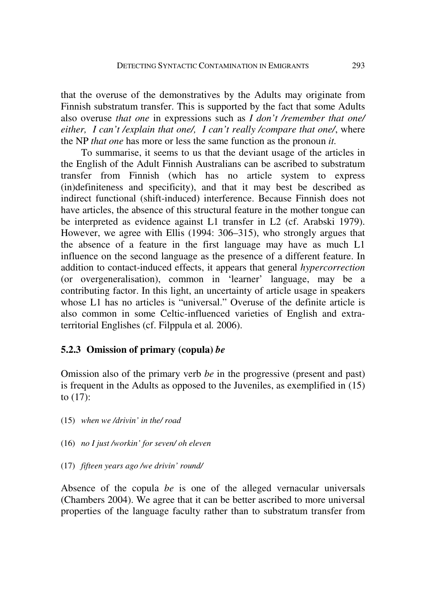that the overuse of the demonstratives by the Adults may originate from Finnish substratum transfer. This is supported by the fact that some Adults also overuse *that one* in expressions such as *I don't /remember that one/ either, I can't /explain that one/, I can't really /compare that one/*, where the NP *that one* has more or less the same function as the pronoun *it.*

To summarise, it seems to us that the deviant usage of the articles in the English of the Adult Finnish Australians can be ascribed to substratum transfer from Finnish (which has no article system to express (in)definiteness and specificity), and that it may best be described as indirect functional (shift-induced) interference. Because Finnish does not have articles, the absence of this structural feature in the mother tongue can be interpreted as evidence against L1 transfer in L2 (cf. Arabski 1979). However, we agree with Ellis (1994: 306–315), who strongly argues that the absence of a feature in the first language may have as much L1 influence on the second language as the presence of a different feature. In addition to contact-induced effects, it appears that general *hypercorrection* (or overgeneralisation), common in 'learner' language, may be a contributing factor. In this light, an uncertainty of article usage in speakers whose L1 has no articles is "universal." Overuse of the definite article is also common in some Celtic-influenced varieties of English and extraterritorial Englishes (cf. Filppula et al*.* 2006).

## **5.2.3 Omission of primary (copula)** *be*

Omission also of the primary verb *be* in the progressive (present and past) is frequent in the Adults as opposed to the Juveniles, as exemplified in (15) to (17):

- (15) *when we /drivin' in the/ road*
- (16) *no I just /workin' for seven/ oh eleven*
- (17) *fifteen years ago /we drivin' round/*

Absence of the copula *be* is one of the alleged vernacular universals (Chambers 2004). We agree that it can be better ascribed to more universal properties of the language faculty rather than to substratum transfer from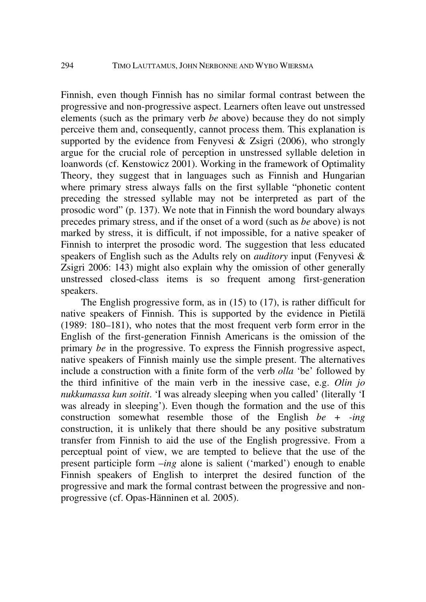Finnish, even though Finnish has no similar formal contrast between the progressive and non-progressive aspect. Learners often leave out unstressed elements (such as the primary verb *be* above) because they do not simply perceive them and, consequently, cannot process them. This explanation is supported by the evidence from Fenyvesi  $\&$  Zsigri (2006), who strongly argue for the crucial role of perception in unstressed syllable deletion in loanwords (cf. Kenstowicz 2001). Working in the framework of Optimality Theory, they suggest that in languages such as Finnish and Hungarian where primary stress always falls on the first syllable "phonetic content preceding the stressed syllable may not be interpreted as part of the prosodic word" (p. 137). We note that in Finnish the word boundary always precedes primary stress, and if the onset of a word (such as *be* above) is not marked by stress, it is difficult, if not impossible, for a native speaker of Finnish to interpret the prosodic word. The suggestion that less educated speakers of English such as the Adults rely on *auditory* input (Fenyvesi & Zsigri 2006: 143) might also explain why the omission of other generally unstressed closed-class items is so frequent among first-generation speakers.

The English progressive form, as in (15) to (17), is rather difficult for native speakers of Finnish. This is supported by the evidence in Pietilä (1989: 180–181), who notes that the most frequent verb form error in the English of the first-generation Finnish Americans is the omission of the primary *be* in the progressive. To express the Finnish progressive aspect, native speakers of Finnish mainly use the simple present. The alternatives include a construction with a finite form of the verb *olla* 'be' followed by the third infinitive of the main verb in the inessive case, e.g. *Olin jo nukkumassa kun soitit*. 'I was already sleeping when you called' (literally 'I was already in sleeping'). Even though the formation and the use of this construction somewhat resemble those of the English *be + -ing* construction, it is unlikely that there should be any positive substratum transfer from Finnish to aid the use of the English progressive. From a perceptual point of view, we are tempted to believe that the use of the present participle form –*ing* alone is salient ('marked') enough to enable Finnish speakers of English to interpret the desired function of the progressive and mark the formal contrast between the progressive and nonprogressive (cf. Opas-Hänninen et al*.* 2005).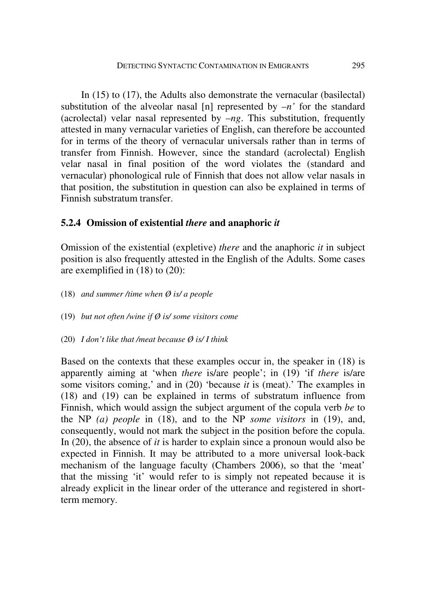In (15) to (17), the Adults also demonstrate the vernacular (basilectal) substitution of the alveolar nasal [n] represented by  $-n$  for the standard (acrolectal) velar nasal represented by  $-ng$ . This substitution, frequently attested in many vernacular varieties of English, can therefore be accounted for in terms of the theory of vernacular universals rather than in terms of transfer from Finnish. However, since the standard (acrolectal) English velar nasal in final position of the word violates the (standard and vernacular) phonological rule of Finnish that does not allow velar nasals in that position, the substitution in question can also be explained in terms of Finnish substratum transfer.

## **5.2.4 Omission of existential** *there* **and anaphoric** *it*

Omission of the existential (expletive) *there* and the anaphoric *it* in subject position is also frequently attested in the English of the Adults. Some cases are exemplified in (18) to (20):

- (18) *and summer /time when Ø is/ a people*
- (19) *but not often /wine if Ø is/ some visitors come*
- (20) *I don't like that /meat because Ø is/ I think*

Based on the contexts that these examples occur in, the speaker in (18) is apparently aiming at 'when *there* is/are people'; in (19) 'if *there* is/are some visitors coming,' and in (20) 'because *it* is (meat).' The examples in (18) and (19) can be explained in terms of substratum influence from Finnish, which would assign the subject argument of the copula verb *be* to the NP *(a) people* in (18), and to the NP *some visitors* in (19), and, consequently, would not mark the subject in the position before the copula. In (20), the absence of *it* is harder to explain since a pronoun would also be expected in Finnish. It may be attributed to a more universal look-back mechanism of the language faculty (Chambers 2006), so that the 'meat' that the missing 'it' would refer to is simply not repeated because it is already explicit in the linear order of the utterance and registered in shortterm memory.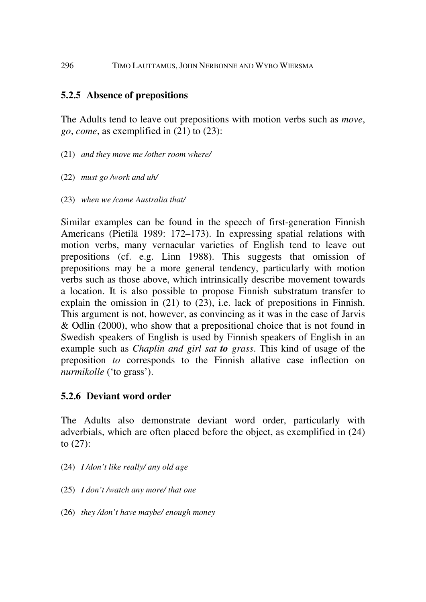## **5.2.5 Absence of prepositions**

The Adults tend to leave out prepositions with motion verbs such as *move*, *go*, *come*, as exemplified in (21) to (23):

- (21) *and they move me /other room where/*
- (22) *must go /work and uh/*
- (23) *when we /came Australia that/*

Similar examples can be found in the speech of first-generation Finnish Americans (Pietilä 1989: 172–173). In expressing spatial relations with motion verbs, many vernacular varieties of English tend to leave out prepositions (cf. e.g. Linn 1988). This suggests that omission of prepositions may be a more general tendency, particularly with motion verbs such as those above, which intrinsically describe movement towards a location. It is also possible to propose Finnish substratum transfer to explain the omission in (21) to (23), i.e. lack of prepositions in Finnish. This argument is not, however, as convincing as it was in the case of Jarvis & Odlin (2000), who show that a prepositional choice that is not found in Swedish speakers of English is used by Finnish speakers of English in an example such as *Chaplin and girl sat to grass*. This kind of usage of the preposition *to* corresponds to the Finnish allative case inflection on *nurmikolle* ('to grass').

## **5.2.6 Deviant word order**

The Adults also demonstrate deviant word order, particularly with adverbials, which are often placed before the object, as exemplified in (24) to (27):

- (24) *I /don't like really/ any old age*
- (25) *I don't /watch any more/ that one*
- (26) *they /don't have maybe/ enough money*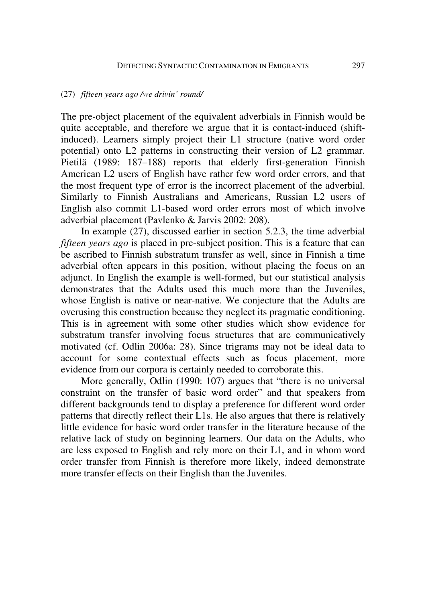#### (27) *fifteen years ago /we drivin' round/*

The pre-object placement of the equivalent adverbials in Finnish would be quite acceptable, and therefore we argue that it is contact-induced (shiftinduced). Learners simply project their L1 structure (native word order potential) onto L2 patterns in constructing their version of L2 grammar. Pietilä (1989: 187–188) reports that elderly first-generation Finnish American L2 users of English have rather few word order errors, and that the most frequent type of error is the incorrect placement of the adverbial. Similarly to Finnish Australians and Americans, Russian L2 users of English also commit L1-based word order errors most of which involve adverbial placement (Pavlenko & Jarvis 2002: 208).

In example (27), discussed earlier in section 5.2.3, the time adverbial *fifteen years ago* is placed in pre-subject position. This is a feature that can be ascribed to Finnish substratum transfer as well, since in Finnish a time adverbial often appears in this position, without placing the focus on an adjunct. In English the example is well-formed, but our statistical analysis demonstrates that the Adults used this much more than the Juveniles, whose English is native or near-native. We conjecture that the Adults are overusing this construction because they neglect its pragmatic conditioning. This is in agreement with some other studies which show evidence for substratum transfer involving focus structures that are communicatively motivated (cf. Odlin 2006a: 28). Since trigrams may not be ideal data to account for some contextual effects such as focus placement, more evidence from our corpora is certainly needed to corroborate this.

More generally, Odlin (1990: 107) argues that "there is no universal constraint on the transfer of basic word order" and that speakers from different backgrounds tend to display a preference for different word order patterns that directly reflect their L1s. He also argues that there is relatively little evidence for basic word order transfer in the literature because of the relative lack of study on beginning learners. Our data on the Adults, who are less exposed to English and rely more on their L1, and in whom word order transfer from Finnish is therefore more likely, indeed demonstrate more transfer effects on their English than the Juveniles.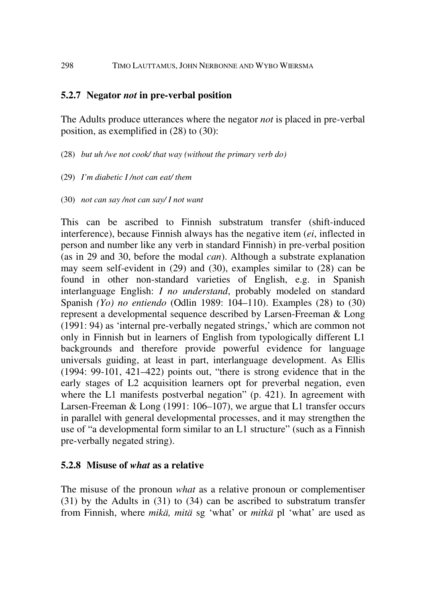## **5.2.7 Negator** *not* **in pre-verbal position**

The Adults produce utterances where the negator *not* is placed in pre-verbal position, as exemplified in (28) to (30):

- (28) *but uh /we not cook/ that way (without the primary verb do)*
- (29) *I'm diabetic I /not can eat/ them*
- (30) *not can say /not can say/ I not want*

This can be ascribed to Finnish substratum transfer (shift-induced interference), because Finnish always has the negative item (*ei*, inflected in person and number like any verb in standard Finnish) in pre-verbal position (as in 29 and 30, before the modal *can*). Although a substrate explanation may seem self-evident in (29) and (30), examples similar to (28) can be found in other non-standard varieties of English, e.g. in Spanish interlanguage English: *I no understand*, probably modeled on standard Spanish *(Yo) no entiendo* (Odlin 1989: 104–110). Examples (28) to (30) represent a developmental sequence described by Larsen-Freeman & Long (1991: 94) as 'internal pre-verbally negated strings,' which are common not only in Finnish but in learners of English from typologically different L1 backgrounds and therefore provide powerful evidence for language universals guiding, at least in part, interlanguage development. As Ellis (1994: 99-101, 421–422) points out, "there is strong evidence that in the early stages of L2 acquisition learners opt for preverbal negation, even where the L1 manifests postverbal negation" (p. 421). In agreement with Larsen-Freeman & Long (1991: 106–107), we argue that L1 transfer occurs in parallel with general developmental processes, and it may strengthen the use of "a developmental form similar to an L1 structure" (such as a Finnish pre-verbally negated string).

### **5.2.8 Misuse of** *what* **as a relative**

The misuse of the pronoun *what* as a relative pronoun or complementiser (31) by the Adults in (31) to (34) can be ascribed to substratum transfer from Finnish, where *mikä, mitä* sg 'what' or *mitkä* pl 'what' are used as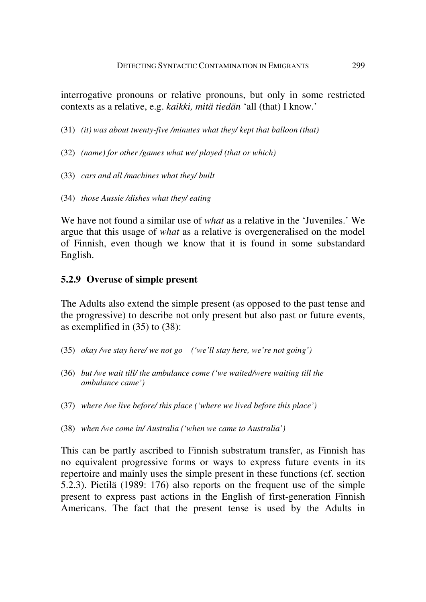interrogative pronouns or relative pronouns, but only in some restricted contexts as a relative, e.g. *kaikki, mitä tiedän* 'all (that) I know.'

- (31) *(it) was about twenty-five /minutes what they/ kept that balloon (that)*
- (32) *(name) for other /games what we/ played (that or which)*
- (33) *cars and all /machines what they/ built*
- (34) *those Aussie /dishes what they/ eating*

We have not found a similar use of *what* as a relative in the 'Juveniles.' We argue that this usage of *what* as a relative is overgeneralised on the model of Finnish, even though we know that it is found in some substandard English.

### **5.2.9 Overuse of simple present**

The Adults also extend the simple present (as opposed to the past tense and the progressive) to describe not only present but also past or future events, as exemplified in (35) to (38):

- (35) *okay /we stay here/ we not go ('we'll stay here, we're not going')*
- (36) *but /we wait till/ the ambulance come ('we waited/were waiting till the ambulance came')*
- (37) *where /we live before/ this place ('where we lived before this place')*
- (38) *when /we come in/ Australia ('when we came to Australia')*

This can be partly ascribed to Finnish substratum transfer, as Finnish has no equivalent progressive forms or ways to express future events in its repertoire and mainly uses the simple present in these functions (cf. section 5.2.3). Pietilä (1989: 176) also reports on the frequent use of the simple present to express past actions in the English of first-generation Finnish Americans. The fact that the present tense is used by the Adults in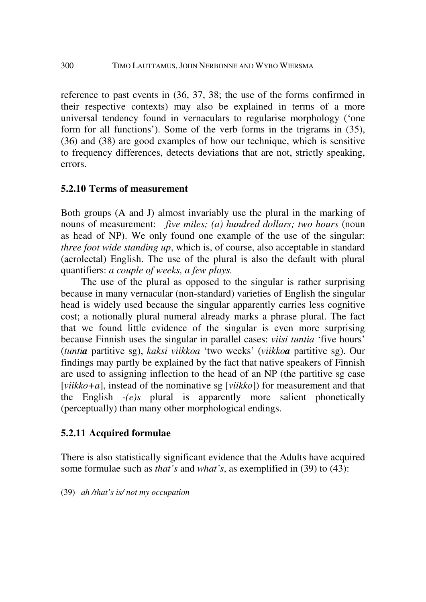reference to past events in (36, 37, 38; the use of the forms confirmed in their respective contexts) may also be explained in terms of a more universal tendency found in vernaculars to regularise morphology ('one form for all functions'). Some of the verb forms in the trigrams in (35), (36) and (38) are good examples of how our technique, which is sensitive to frequency differences, detects deviations that are not, strictly speaking, errors.

## **5.2.10 Terms of measurement**

Both groups (A and J) almost invariably use the plural in the marking of nouns of measurement: *five miles; (a) hundred dollars; two hours* (noun as head of NP). We only found one example of the use of the singular: *three foot wide standing up*, which is, of course, also acceptable in standard (acrolectal) English. The use of the plural is also the default with plural quantifiers: *a couple of weeks, a few plays.* 

The use of the plural as opposed to the singular is rather surprising because in many vernacular (non-standard) varieties of English the singular head is widely used because the singular apparently carries less cognitive cost; a notionally plural numeral already marks a phrase plural. The fact that we found little evidence of the singular is even more surprising because Finnish uses the singular in parallel cases: *viisi tuntia* 'five hours' (*tuntia* partitive sg), *kaksi viikkoa* 'two weeks' (*viikkoa* partitive sg). Our findings may partly be explained by the fact that native speakers of Finnish are used to assigning inflection to the head of an NP (the partitive sg case [*viikko+a*], instead of the nominative sg [*viikko*]) for measurement and that the English -*(e)s* plural is apparently more salient phonetically (perceptually) than many other morphological endings.

## **5.2.11 Acquired formulae**

There is also statistically significant evidence that the Adults have acquired some formulae such as *that's* and *what's*, as exemplified in (39) to (43):

(39) *ah /that's is/ not my occupation*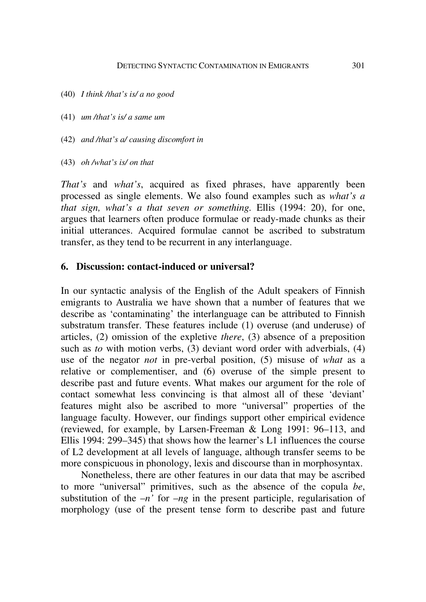- (40) *I think /that's is/ a no good*
- (41) *um /that's is/ a same um*
- (42) *and /that's a/ causing discomfort in*
- (43) *oh /what's is/ on that*

*That's* and *what's*, acquired as fixed phrases, have apparently been processed as single elements. We also found examples such as *what's a that sign, what's a that seven or something.* Ellis (1994: 20), for one, argues that learners often produce formulae or ready-made chunks as their initial utterances. Acquired formulae cannot be ascribed to substratum transfer, as they tend to be recurrent in any interlanguage.

## **6. Discussion: contact-induced or universal?**

In our syntactic analysis of the English of the Adult speakers of Finnish emigrants to Australia we have shown that a number of features that we describe as 'contaminating' the interlanguage can be attributed to Finnish substratum transfer. These features include (1) overuse (and underuse) of articles, (2) omission of the expletive *there*, (3) absence of a preposition such as *to* with motion verbs, (3) deviant word order with adverbials, (4) use of the negator *not* in pre-verbal position, (5) misuse of *what* as a relative or complementiser, and (6) overuse of the simple present to describe past and future events. What makes our argument for the role of contact somewhat less convincing is that almost all of these 'deviant' features might also be ascribed to more "universal" properties of the language faculty. However, our findings support other empirical evidence (reviewed, for example, by Larsen-Freeman & Long 1991: 96–113, and Ellis 1994: 299–345) that shows how the learner's L1 influences the course of L2 development at all levels of language, although transfer seems to be more conspicuous in phonology, lexis and discourse than in morphosyntax.

Nonetheless, there are other features in our data that may be ascribed to more "universal" primitives, such as the absence of the copula *be*, substitution of the  $-n$ <sup>'</sup> for  $-ng$  in the present participle, regularisation of morphology (use of the present tense form to describe past and future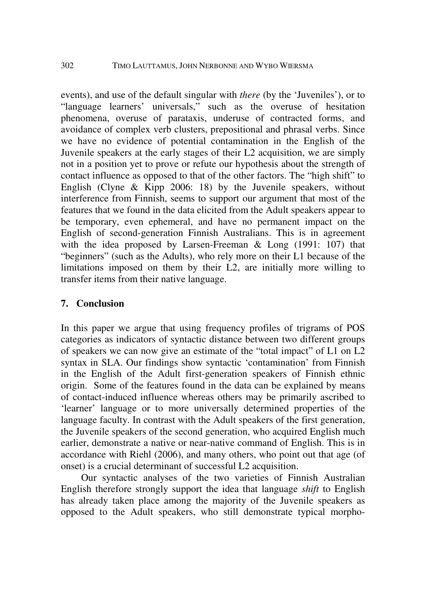events), and use of the default singular with *there* (by the 'Juveniles'), or to "language learners' universals," such as the overuse of hesitation phenomena, overuse of parataxis, underuse of contracted forms, and avoidance of complex verb clusters, prepositional and phrasal verbs. Since we have no evidence of potential contamination in the English of the Juvenile speakers at the early stages of their L2 acquisition, we are simply not in a position yet to prove or refute our hypothesis about the strength of contact influence as opposed to that of the other factors. The "high shift" to English (Clyne & Kipp 2006: 18) by the Juvenile speakers, without interference from Finnish, seems to support our argument that most of the features that we found in the data elicited from the Adult speakers appear to be temporary, even ephemeral, and have no permanent impact on the English of second-generation Finnish Australians. This is in agreement with the idea proposed by Larsen-Freeman & Long (1991: 107) that "beginners" (such as the Adults), who rely more on their L1 because of the limitations imposed on them by their L2, are initially more willing to transfer items from their native language.

## **7. Conclusion**

In this paper we argue that using frequency profiles of trigrams of POS categories as indicators of syntactic distance between two different groups of speakers we can now give an estimate of the "total impact" of L1 on L2 syntax in SLA. Our findings show syntactic 'contamination' from Finnish in the English of the Adult first-generation speakers of Finnish ethnic origin. Some of the features found in the data can be explained by means of contact-induced influence whereas others may be primarily ascribed to 'learner' language or to more universally determined properties of the language faculty. In contrast with the Adult speakers of the first generation, the Juvenile speakers of the second generation, who acquired English much earlier, demonstrate a native or near-native command of English. This is in accordance with Riehl (2006), and many others, who point out that age (of onset) is a crucial determinant of successful L2 acquisition.

Our syntactic analyses of the two varieties of Finnish Australian English therefore strongly support the idea that language *shift* to English has already taken place among the majority of the Juvenile speakers as opposed to the Adult speakers, who still demonstrate typical morpho-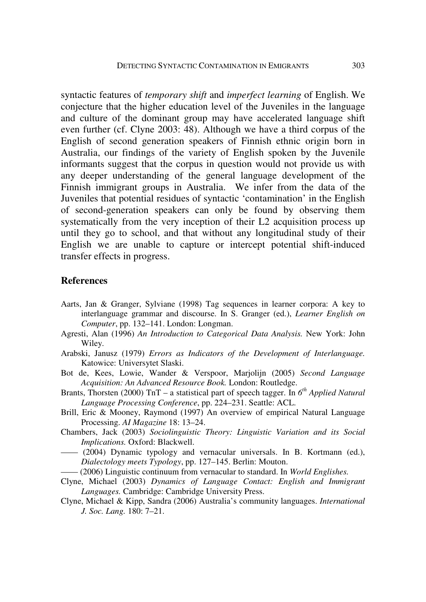syntactic features of *temporary shift* and *imperfect learning* of English. We conjecture that the higher education level of the Juveniles in the language and culture of the dominant group may have accelerated language shift even further (cf. Clyne 2003: 48). Although we have a third corpus of the English of second generation speakers of Finnish ethnic origin born in Australia, our findings of the variety of English spoken by the Juvenile informants suggest that the corpus in question would not provide us with any deeper understanding of the general language development of the Finnish immigrant groups in Australia. We infer from the data of the Juveniles that potential residues of syntactic 'contamination' in the English of second-generation speakers can only be found by observing them systematically from the very inception of their L2 acquisition process up until they go to school, and that without any longitudinal study of their English we are unable to capture or intercept potential shift-induced transfer effects in progress.

#### **References**

- Aarts, Jan & Granger, Sylviane (1998) Tag sequences in learner corpora: A key to interlanguage grammar and discourse. In S. Granger (ed.), *Learner English on Computer*, pp. 132–141. London: Longman.
- Agresti, Alan (1996) *An Introduction to Categorical Data Analysis.* New York: John Wiley.
- Arabski, Janusz (1979) *Errors as Indicators of the Development of Interlanguage.* Katowice: Universytet Slaski.
- Bot de, Kees, Lowie, Wander & Verspoor, Marjolijn (2005) *Second Language Acquisition: An Advanced Resource Book.* London: Routledge.
- Brants, Thorsten (2000) TnT a statistical part of speech tagger. In *6 th Applied Natural Language Processing Conference*, pp. 224–231. Seattle: ACL.
- Brill, Eric & Mooney, Raymond (1997) An overview of empirical Natural Language Processing. *AI Magazine* 18: 13–24.
- Chambers, Jack (2003) *Sociolinguistic Theory: Linguistic Variation and its Social Implications.* Oxford: Blackwell.
- —— (2004) Dynamic typology and vernacular universals. In B. Kortmann (ed.), *Dialectology meets Typology*, pp. 127–145. Berlin: Mouton.
- —— (2006) Linguistic continuum from vernacular to standard. In *World Englishes.*
- Clyne, Michael (2003) *Dynamics of Language Contact: English and Immigrant Languages.* Cambridge: Cambridge University Press.
- Clyne, Michael & Kipp, Sandra (2006) Australia's community languages. *International J. Soc. Lang.* 180: 7–21.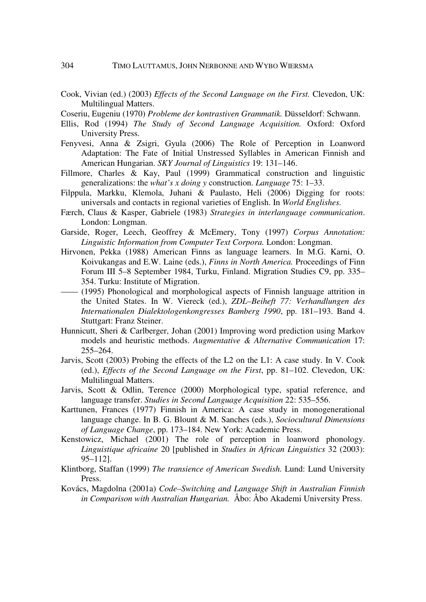Cook, Vivian (ed.) (2003) *Effects of the Second Language on the First.* Clevedon, UK: Multilingual Matters.

Coseriu, Eugeniu (1970) *Probleme der kontrastiven Grammatik.* Düsseldorf: Schwann.

- Ellis, Rod (1994) *The Study of Second Language Acquisition.* Oxford: Oxford University Press.
- Fenyvesi, Anna & Zsigri, Gyula (2006) The Role of Perception in Loanword Adaptation: The Fate of Initial Unstressed Syllables in American Finnish and American Hungarian. *SKY Journal of Linguistics* 19: 131–146.
- Fillmore, Charles & Kay, Paul (1999) Grammatical construction and linguistic generalizations: the *what's x doing y* construction. *Language* 75: 1–33.
- Filppula, Markku, Klemola, Juhani & Paulasto, Heli (2006) Digging for roots: universals and contacts in regional varieties of English. In *World Englishes.*
- Færch, Claus & Kasper, Gabriele (1983) *Strategies in interlanguage communication*. London: Longman.
- Garside, Roger, Leech, Geoffrey & McEmery, Tony (1997) *Corpus Annotation: Linguistic Information from Computer Text Corpora.* London: Longman.
- Hirvonen, Pekka (1988) American Finns as language learners. In M.G. Karni, O. Koivukangas and E.W. Laine (eds.), *Finns in North America.* Proceedings of Finn Forum III 5–8 September 1984, Turku, Finland. Migration Studies C9, pp. 335– 354. Turku: Institute of Migration.
- —— (1995) Phonological and morphological aspects of Finnish language attrition in the United States. In W. Viereck (ed.), *ZDL–Beiheft 77: Verhandlungen des Internationalen Dialektologenkongresses Bamberg 1990*, pp. 181–193. Band 4. Stuttgart: Franz Steiner.
- Hunnicutt, Sheri & Carlberger, Johan (2001) Improving word prediction using Markov models and heuristic methods. *Augmentative & Alternative Communication* 17: 255–264.
- Jarvis, Scott (2003) Probing the effects of the L2 on the L1: A case study. In V. Cook (ed.), *Effects of the Second Language on the First*, pp. 81–102. Clevedon, UK: Multilingual Matters.
- Jarvis, Scott & Odlin, Terence (2000) Morphological type, spatial reference, and language transfer. *Studies in Second Language Acquisition* 22: 535–556.
- Karttunen, Frances (1977) Finnish in America: A case study in monogenerational language change. In B. G. Blount & M. Sanches (eds.), *Sociocultural Dimensions of Language Change*, pp. 173–184. New York: Academic Press.
- Kenstowicz, Michael (2001) The role of perception in loanword phonology. *Linguistique africaine* 20 [published in *Studies in African Linguistics* 32 (2003): 95–112].
- Klintborg, Staffan (1999) *The transience of American Swedish.* Lund: Lund University Press.
- Kovács, Magdolna (2001a) *Code–Switching and Language Shift in Australian Finnish in Comparison with Australian Hungarian.* Åbo: Åbo Akademi University Press.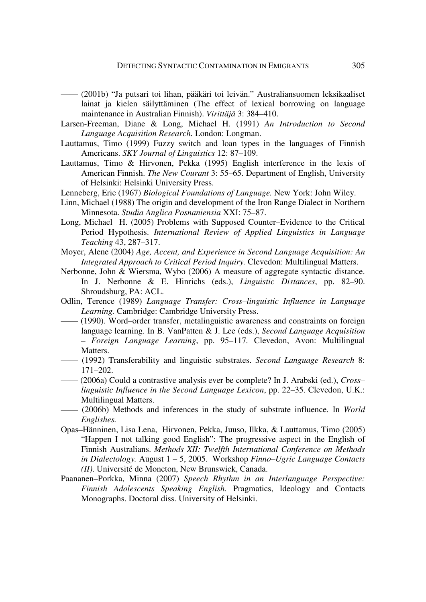- —— (2001b) "Ja putsari toi lihan, pääkäri toi leivän." Australiansuomen leksikaaliset lainat ja kielen säilyttäminen (The effect of lexical borrowing on language maintenance in Australian Finnish). *Virittäjä* 3: 384–410.
- Larsen-Freeman, Diane & Long, Michael H. (1991) *An Introduction to Second Language Acquisition Research.* London: Longman.
- Lauttamus, Timo (1999) Fuzzy switch and loan types in the languages of Finnish Americans. *SKY Journal of Linguistics* 12: 87–109.
- Lauttamus, Timo & Hirvonen, Pekka (1995) English interference in the lexis of American Finnish. *The New Courant* 3: 55–65. Department of English, University of Helsinki: Helsinki University Press.
- Lenneberg, Eric (1967) *Biological Foundations of Language.* New York: John Wiley.
- Linn, Michael (1988) The origin and development of the Iron Range Dialect in Northern Minnesota. *Studia Anglica Posnaniensia* XXI: 75–87.
- Long, Michael H. (2005) Problems with Supposed Counter–Evidence to the Critical Period Hypothesis. *International Review of Applied Linguistics in Language Teaching* 43, 287–317.
- Moyer, Alene (2004) *Age, Accent, and Experience in Second Language Acquisition: An Integrated Approach to Critical Period Inquiry.* Clevedon: Multilingual Matters.
- Nerbonne, John & Wiersma, Wybo (2006) A measure of aggregate syntactic distance. In J. Nerbonne & E. Hinrichs (eds.), *Linguistic Distances*, pp. 82–90. Shroudsburg, PA: ACL.
- Odlin, Terence (1989) *Language Transfer: Cross–linguistic Influence in Language Learning.* Cambridge: Cambridge University Press.
- (1990). Word–order transfer, metalinguistic awareness and constraints on foreign language learning. In B. VanPatten & J. Lee (eds.), *Second Language Acquisition – Foreign Language Learning*, pp. 95–117*.* Clevedon, Avon: Multilingual Matters.
- —— (1992) Transferability and linguistic substrates. *Second Language Research* 8: 171–202.
- —— (2006a) Could a contrastive analysis ever be complete? In J. Arabski (ed.), *Cross– linguistic Influence in the Second Language Lexicon*, pp. 22–35. Clevedon, U.K.: Multilingual Matters.
- —— (2006b) Methods and inferences in the study of substrate influence. In *World Englishes.*
- Opas–Hänninen, Lisa Lena, Hirvonen, Pekka, Juuso, Ilkka, & Lauttamus, Timo (2005) "Happen I not talking good English": The progressive aspect in the English of Finnish Australians. *Methods XII: Twelfth International Conference on Methods in Dialectology.* August 1 – 5, 2005. Workshop *Finno–Ugric Language Contacts (II)*. Université de Moncton, New Brunswick, Canada.
- Paananen–Porkka, Minna (2007) *Speech Rhythm in an Interlanguage Perspective: Finnish Adolescents Speaking English.* Pragmatics, Ideology and Contacts Monographs. Doctoral diss. University of Helsinki.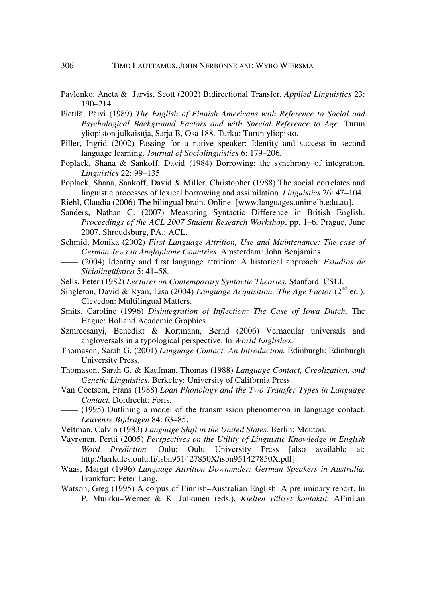- Pavlenko, Aneta & Jarvis, Scott (2002) Bidirectional Transfer. *Applied Linguistics* 23: 190–214.
- Pietilä, Päivi (1989) *The English of Finnish Americans with Reference to Social and Psychological Background Factors and with Special Reference to Age.* Turun yliopiston julkaisuja, Sarja B, Osa 188. Turku: Turun yliopisto.
- Piller, Ingrid (2002) Passing for a native speaker: Identity and success in second language learning. *Journal of Sociolinguistics* 6: 179–206.
- Poplack, Shana & Sankoff, David (1984) Borrowing: the synchrony of integration. *Linguistics* 22: 99–135.
- Poplack, Shana, Sankoff, David & Miller, Christopher (1988) The social correlates and linguistic processes of lexical borrowing and assimilation. *Linguistics* 26: 47–104.
- Riehl, Claudia (2006) The bilingual brain. Online. [www.languages.unimelb.edu.au].
- Sanders, Nathan C. (2007) Measuring Syntactic Difference in British English. *Proceedings of the ACL 2007 Student Research Workshop*, pp. 1–6. Prague, June 2007. Shroudsburg, PA.: ACL.
- Schmid, Monika (2002) *First Language Attrition, Use and Maintenance: The case of German Jews in Anglophone Countries.* Amsterdam: John Benjamins.
- —— (2004) Identity and first language attrition: A historical approach. *Estudios de Siciolingüística* 5: 41–58.
- Sells, Peter (1982) *Lectures on Contemporary Syntactic Theories.* Stanford: CSLI.
- Singleton, David & Ryan, Lisa (2004) *Language Acquisition: The Age Factor* (2<sup>nd</sup> ed.). Clevedon: Multilingual Matters.
- Smits, Caroline (1996) *Disintegration of Inflection: The Case of Iowa Dutch.* The Hague: Holland Academic Graphics.
- Szmrecsanyi, Benedikt & Kortmann, Bernd (2006) Vernacular universals and angloversals in a typological perspective. In *World Englishes.*
- Thomason, Sarah G. (2001) *Language Contact: An Introduction.* Edinburgh: Edinburgh University Press.
- Thomason, Sarah G. & Kaufman, Thomas (1988) *Language Contact, Creolization, and Genetic Linguistics*. Berkeley: University of California Press.
- Van Coetsem, Frans (1988) *Loan Phonology and the Two Transfer Types in Language Contact.* Dordrecht: Foris.
- —— (1995) Outlining a model of the transmission phenomenon in language contact. *Leuvense Bijdragen* 84: 63–85.
- Veltman, Calvin (1983) *Language Shift in the United States.* Berlin: Mouton.
- Väyrynen, Pertti (2005) *Perspectives on the Utility of Linguistic Knowledge in English Word Prediction.* Oulu: Oulu University Press [also available at: http://herkules.oulu.fi/isbn951427850X/isbn951427850X.pdf].
- Waas, Margit (1996) *Language Attrition Downunder: German Speakers in Australia.* Frankfurt: Peter Lang.
- Watson, Greg (1995) A corpus of Finnish–Australian English: A preliminary report. In P. Muikku–Werner & K. Julkunen (eds.), *Kielten väliset kontaktit.* AFinLan